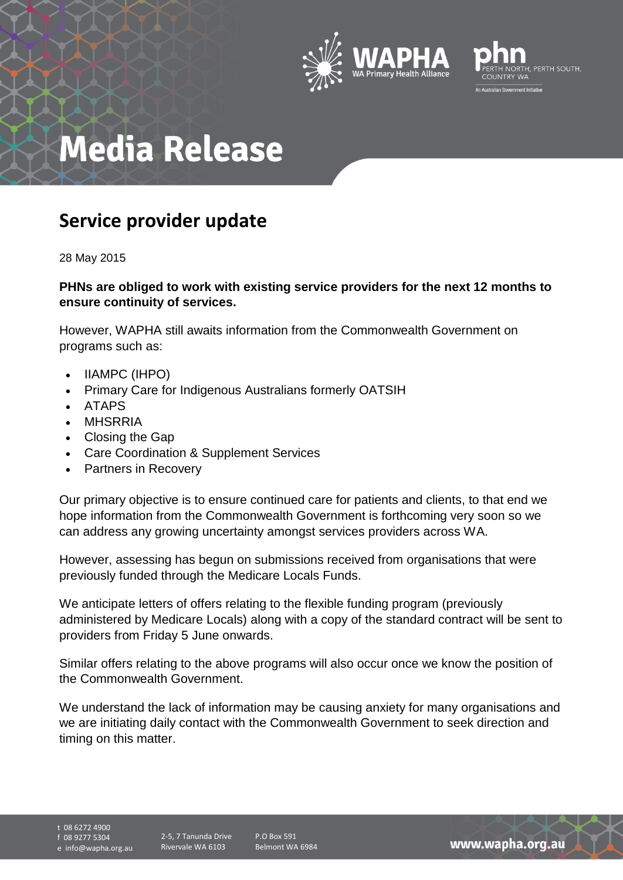



## **Media Release**

## **Service provider update**

28 May 2015

## **PHNs are obliged to work with existing service providers for the next 12 months to ensure continuity of services.**

However, WAPHA still awaits information from the Commonwealth Government on programs such as:

- IIAMPC (IHPO)
- Primary Care for Indigenous Australians formerly OATSIH
- ATAPS
- MHSRRIA
- Closing the Gap
- Care Coordination & Supplement Services
- Partners in Recovery

Our primary objective is to ensure continued care for patients and clients, to that end we hope information from the Commonwealth Government is forthcoming very soon so we can address any growing uncertainty amongst services providers across WA.

However, assessing has begun on submissions received from organisations that were previously funded through the Medicare Locals Funds.

We anticipate letters of offers relating to the flexible funding program (previously administered by Medicare Locals) along with a copy of the standard contract will be sent to providers from Friday 5 June onwards.

Similar offers relating to the above programs will also occur once we know the position of the Commonwealth Government.

We understand the lack of information may be causing anxiety for many organisations and we are initiating daily contact with the Commonwealth Government to seek direction and timing on this matter.

t 08 6272 4900 f 08 9277 5304 e info@wapha.org.au

2-5, 7 Tanunda Drive Rivervale WA 6103

P.O Box 591 Belmont WA 6984

www.wapha.org.au